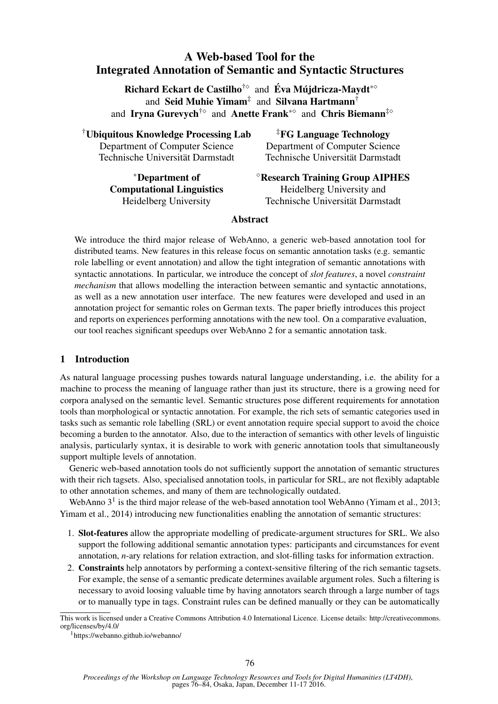# A Web-based Tool for the Integrated Annotation of Semantic and Syntactic Structures

Richard Eckart de Castilho<sup>†</sup><sup>o</sup> and Éva Mújdricza-Maydt<sup>\*</sup><sup>o</sup> and Seid Muhie Yimam<sup>‡</sup> and Silvana Hartmann<sup>†</sup> and Iryna Gurevych<sup>†</sup><sup>o</sup> and Anette Frank<sup>\*o</sup> and Chris Biemann<sup>‡o</sup>

†Ubiquitous Knowledge Processing Lab Department of Computer Science Technische Universität Darmstadt

‡FG Language Technology Department of Computer Science Technische Universität Darmstadt

∗Department of Computational Linguistics Heidelberg University

Research Training Group AIPHES Heidelberg University and Technische Universität Darmstadt

## Abstract

We introduce the third major release of WebAnno, a generic web-based annotation tool for distributed teams. New features in this release focus on semantic annotation tasks (e.g. semantic role labelling or event annotation) and allow the tight integration of semantic annotations with syntactic annotations. In particular, we introduce the concept of *slot features*, a novel *constraint mechanism* that allows modelling the interaction between semantic and syntactic annotations, as well as a new annotation user interface. The new features were developed and used in an annotation project for semantic roles on German texts. The paper briefly introduces this project and reports on experiences performing annotations with the new tool. On a comparative evaluation, our tool reaches significant speedups over WebAnno 2 for a semantic annotation task.

# 1 Introduction

As natural language processing pushes towards natural language understanding, i.e. the ability for a machine to process the meaning of language rather than just its structure, there is a growing need for corpora analysed on the semantic level. Semantic structures pose different requirements for annotation tools than morphological or syntactic annotation. For example, the rich sets of semantic categories used in tasks such as semantic role labelling (SRL) or event annotation require special support to avoid the choice becoming a burden to the annotator. Also, due to the interaction of semantics with other levels of linguistic analysis, particularly syntax, it is desirable to work with generic annotation tools that simultaneously support multiple levels of annotation.

Generic web-based annotation tools do not sufficiently support the annotation of semantic structures with their rich tagsets. Also, specialised annotation tools, in particular for SRL, are not flexibly adaptable to other annotation schemes, and many of them are technologically outdated.

WebAnno  $3<sup>1</sup>$  is the third major release of the web-based annotation tool WebAnno (Yimam et al., 2013; Yimam et al., 2014) introducing new functionalities enabling the annotation of semantic structures:

- 1. Slot-features allow the appropriate modelling of predicate-argument structures for SRL. We also support the following additional semantic annotation types: participants and circumstances for event annotation, *n*-ary relations for relation extraction, and slot-filling tasks for information extraction.
- 2. Constraints help annotators by performing a context-sensitive filtering of the rich semantic tagsets. For example, the sense of a semantic predicate determines available argument roles. Such a filtering is necessary to avoid loosing valuable time by having annotators search through a large number of tags or to manually type in tags. Constraint rules can be defined manually or they can be automatically

This work is licensed under a Creative Commons Attribution 4.0 International Licence. License details: http://creativecommons. org/licenses/by/4.0/

<sup>1</sup>https://webanno.github.io/webanno/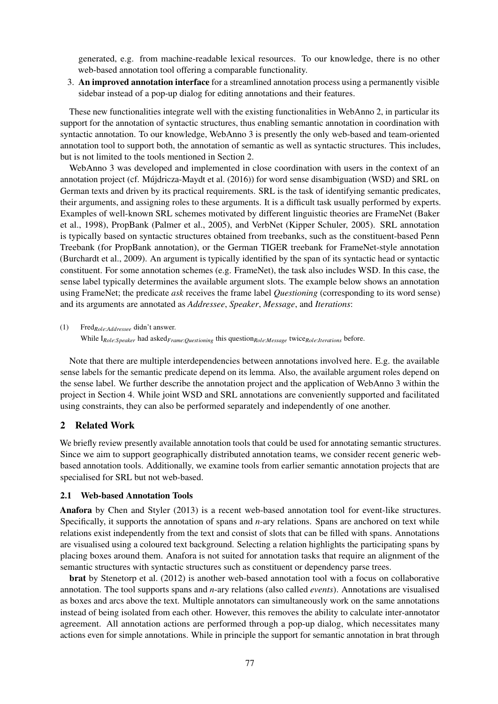generated, e.g. from machine-readable lexical resources. To our knowledge, there is no other web-based annotation tool offering a comparable functionality.

3. An improved annotation interface for a streamlined annotation process using a permanently visible sidebar instead of a pop-up dialog for editing annotations and their features.

These new functionalities integrate well with the existing functionalities in WebAnno 2, in particular its support for the annotation of syntactic structures, thus enabling semantic annotation in coordination with syntactic annotation. To our knowledge, WebAnno 3 is presently the only web-based and team-oriented annotation tool to support both, the annotation of semantic as well as syntactic structures. This includes, but is not limited to the tools mentioned in Section 2.

WebAnno 3 was developed and implemented in close coordination with users in the context of an annotation project (cf. Mujdricza-Maydt et al. (2016)) for word sense disambiguation (WSD) and SRL on German texts and driven by its practical requirements. SRL is the task of identifying semantic predicates, their arguments, and assigning roles to these arguments. It is a difficult task usually performed by experts. Examples of well-known SRL schemes motivated by different linguistic theories are FrameNet (Baker et al., 1998), PropBank (Palmer et al., 2005), and VerbNet (Kipper Schuler, 2005). SRL annotation is typically based on syntactic structures obtained from treebanks, such as the constituent-based Penn Treebank (for PropBank annotation), or the German TIGER treebank for FrameNet-style annotation (Burchardt et al., 2009). An argument is typically identified by the span of its syntactic head or syntactic constituent. For some annotation schemes (e.g. FrameNet), the task also includes WSD. In this case, the sense label typically determines the available argument slots. The example below shows an annotation using FrameNet; the predicate *ask* receives the frame label *Questioning* (corresponding to its word sense) and its arguments are annotated as *Addressee*, *Speaker*, *Message*, and *Iterations*:

(1) Fred*Role*:*Addressee* didn't answer. (2) While I*Role*:*Speaker* had asked*Frame*:*Questioning* this question*Role*:*Message* twice*Role*:*Iterations* before.

Note that there are multiple interdependencies between annotations involved here. E.g. the available sense labels for the semantic predicate depend on its lemma. Also, the available argument roles depend on the sense label. We further describe the annotation project and the application of WebAnno 3 within the project in Section 4. While joint WSD and SRL annotations are conveniently supported and facilitated using constraints, they can also be performed separately and independently of one another.

### 2 Related Work

We briefly review presently available annotation tools that could be used for annotating semantic structures. Since we aim to support geographically distributed annotation teams, we consider recent generic webbased annotation tools. Additionally, we examine tools from earlier semantic annotation projects that are specialised for SRL but not web-based.

### 2.1 Web-based Annotation Tools

Anafora by Chen and Styler (2013) is a recent web-based annotation tool for event-like structures. Specifically, it supports the annotation of spans and *n*-ary relations. Spans are anchored on text while relations exist independently from the text and consist of slots that can be filled with spans. Annotations are visualised using a coloured text background. Selecting a relation highlights the participating spans by placing boxes around them. Anafora is not suited for annotation tasks that require an alignment of the semantic structures with syntactic structures such as constituent or dependency parse trees.

brat by Stenetorp et al. (2012) is another web-based annotation tool with a focus on collaborative annotation. The tool supports spans and *n*-ary relations (also called *events*). Annotations are visualised as boxes and arcs above the text. Multiple annotators can simultaneously work on the same annotations instead of being isolated from each other. However, this removes the ability to calculate inter-annotator agreement. All annotation actions are performed through a pop-up dialog, which necessitates many actions even for simple annotations. While in principle the support for semantic annotation in brat through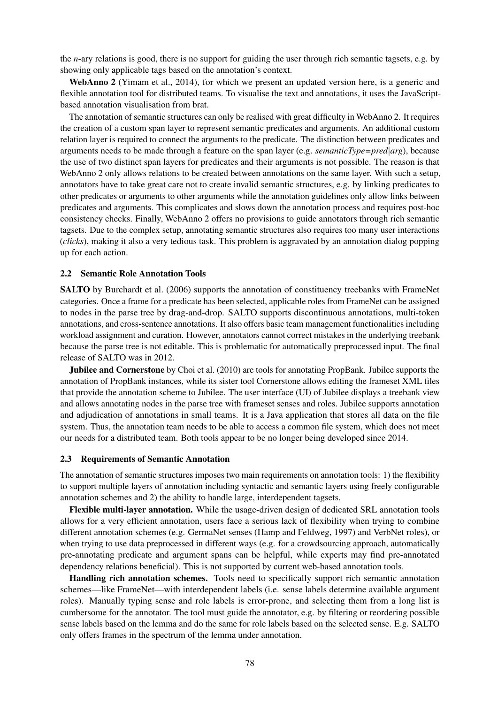the *n*-ary relations is good, there is no support for guiding the user through rich semantic tagsets, e.g. by showing only applicable tags based on the annotation's context.

WebAnno 2 (Yimam et al., 2014), for which we present an updated version here, is a generic and flexible annotation tool for distributed teams. To visualise the text and annotations, it uses the JavaScriptbased annotation visualisation from brat.

The annotation of semantic structures can only be realised with great difficulty in WebAnno 2. It requires the creation of a custom span layer to represent semantic predicates and arguments. An additional custom relation layer is required to connect the arguments to the predicate. The distinction between predicates and arguments needs to be made through a feature on the span layer (e.g. *semanticType=pred*|*arg*), because the use of two distinct span layers for predicates and their arguments is not possible. The reason is that WebAnno 2 only allows relations to be created between annotations on the same layer. With such a setup, annotators have to take great care not to create invalid semantic structures, e.g. by linking predicates to other predicates or arguments to other arguments while the annotation guidelines only allow links between predicates and arguments. This complicates and slows down the annotation process and requires post-hoc consistency checks. Finally, WebAnno 2 offers no provisions to guide annotators through rich semantic tagsets. Due to the complex setup, annotating semantic structures also requires too many user interactions (*clicks*), making it also a very tedious task. This problem is aggravated by an annotation dialog popping up for each action.

#### 2.2 Semantic Role Annotation Tools

SALTO by Burchardt et al. (2006) supports the annotation of constituency treebanks with FrameNet categories. Once a frame for a predicate has been selected, applicable roles from FrameNet can be assigned to nodes in the parse tree by drag-and-drop. SALTO supports discontinuous annotations, multi-token annotations, and cross-sentence annotations. It also offers basic team management functionalities including workload assignment and curation. However, annotators cannot correct mistakes in the underlying treebank because the parse tree is not editable. This is problematic for automatically preprocessed input. The final release of SALTO was in 2012.

Jubilee and Cornerstone by Choi et al. (2010) are tools for annotating PropBank. Jubilee supports the annotation of PropBank instances, while its sister tool Cornerstone allows editing the frameset XML files that provide the annotation scheme to Jubilee. The user interface (UI) of Jubilee displays a treebank view and allows annotating nodes in the parse tree with frameset senses and roles. Jubilee supports annotation and adjudication of annotations in small teams. It is a Java application that stores all data on the file system. Thus, the annotation team needs to be able to access a common file system, which does not meet our needs for a distributed team. Both tools appear to be no longer being developed since 2014.

#### 2.3 Requirements of Semantic Annotation

The annotation of semantic structures imposes two main requirements on annotation tools: 1) the flexibility to support multiple layers of annotation including syntactic and semantic layers using freely configurable annotation schemes and 2) the ability to handle large, interdependent tagsets.

Flexible multi-layer annotation. While the usage-driven design of dedicated SRL annotation tools allows for a very efficient annotation, users face a serious lack of flexibility when trying to combine different annotation schemes (e.g. GermaNet senses (Hamp and Feldweg, 1997) and VerbNet roles), or when trying to use data preprocessed in different ways (e.g. for a crowdsourcing approach, automatically pre-annotating predicate and argument spans can be helpful, while experts may find pre-annotated dependency relations beneficial). This is not supported by current web-based annotation tools.

Handling rich annotation schemes. Tools need to specifically support rich semantic annotation schemes—like FrameNet—with interdependent labels (i.e. sense labels determine available argument roles). Manually typing sense and role labels is error-prone, and selecting them from a long list is cumbersome for the annotator. The tool must guide the annotator, e.g. by filtering or reordering possible sense labels based on the lemma and do the same for role labels based on the selected sense. E.g. SALTO only offers frames in the spectrum of the lemma under annotation.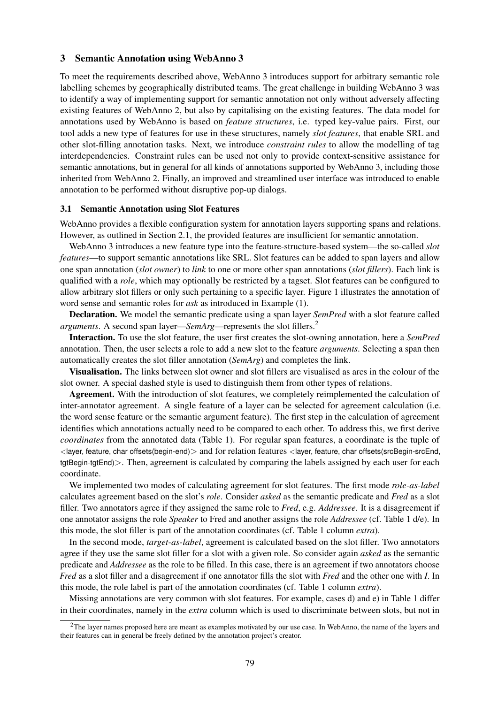#### 3 Semantic Annotation using WebAnno 3

To meet the requirements described above, WebAnno 3 introduces support for arbitrary semantic role labelling schemes by geographically distributed teams. The great challenge in building WebAnno 3 was to identify a way of implementing support for semantic annotation not only without adversely affecting existing features of WebAnno 2, but also by capitalising on the existing features. The data model for annotations used by WebAnno is based on *feature structures*, i.e. typed key-value pairs. First, our tool adds a new type of features for use in these structures, namely *slot features*, that enable SRL and other slot-filling annotation tasks. Next, we introduce *constraint rules* to allow the modelling of tag interdependencies. Constraint rules can be used not only to provide context-sensitive assistance for semantic annotations, but in general for all kinds of annotations supported by WebAnno 3, including those inherited from WebAnno 2. Finally, an improved and streamlined user interface was introduced to enable annotation to be performed without disruptive pop-up dialogs.

### 3.1 Semantic Annotation using Slot Features

WebAnno provides a flexible configuration system for annotation layers supporting spans and relations. However, as outlined in Section 2.1, the provided features are insufficient for semantic annotation.

WebAnno 3 introduces a new feature type into the feature-structure-based system—the so-called *slot features*—to support semantic annotations like SRL. Slot features can be added to span layers and allow one span annotation (*slot owner*) to *link* to one or more other span annotations (*slot fillers*). Each link is qualified with a *role*, which may optionally be restricted by a tagset. Slot features can be configured to allow arbitrary slot fillers or only such pertaining to a specific layer. Figure 1 illustrates the annotation of word sense and semantic roles for *ask* as introduced in Example (1).

Declaration. We model the semantic predicate using a span layer *SemPred* with a slot feature called *arguments*. A second span layer—*SemArg*—represents the slot fillers.<sup>2</sup>

Interaction. To use the slot feature, the user first creates the slot-owning annotation, here a *SemPred* annotation. Then, the user selects a role to add a new slot to the feature *arguments*. Selecting a span then automatically creates the slot filler annotation (*SemArg*) and completes the link.

Visualisation. The links between slot owner and slot fillers are visualised as arcs in the colour of the slot owner. A special dashed style is used to distinguish them from other types of relations.

Agreement. With the introduction of slot features, we completely reimplemented the calculation of inter-annotator agreement. A single feature of a layer can be selected for agreement calculation (i.e. the word sense feature or the semantic argument feature). The first step in the calculation of agreement identifies which annotations actually need to be compared to each other. To address this, we first derive *coordinates* from the annotated data (Table 1). For regular span features, a coordinate is the tuple of <layer, feature, char offsets(begin-end)> and for relation features <layer, feature, char offsets(srcBegin-srcEnd, tgtBegin-tgtEnd)>. Then, agreement is calculated by comparing the labels assigned by each user for each coordinate.

We implemented two modes of calculating agreement for slot features. The first mode *role-as-label* calculates agreement based on the slot's *role*. Consider *asked* as the semantic predicate and *Fred* as a slot filler. Two annotators agree if they assigned the same role to *Fred*, e.g. *Addressee*. It is a disagreement if one annotator assigns the role *Speaker* to Fred and another assigns the role *Addressee* (cf. Table 1 d/e). In this mode, the slot filler is part of the annotation coordinates (cf. Table 1 column *extra*).

In the second mode, *target-as-label*, agreement is calculated based on the slot filler. Two annotators agree if they use the same slot filler for a slot with a given role. So consider again *asked* as the semantic predicate and *Addressee* as the role to be filled. In this case, there is an agreement if two annotators choose *Fred* as a slot filler and a disagreement if one annotator fills the slot with *Fred* and the other one with *I*. In this mode, the role label is part of the annotation coordinates (cf. Table 1 column *extra*).

Missing annotations are very common with slot features. For example, cases d) and e) in Table 1 differ in their coordinates, namely in the *extra* column which is used to discriminate between slots, but not in

 $2$ The layer names proposed here are meant as examples motivated by our use case. In WebAnno, the name of the layers and their features can in general be freely defined by the annotation project's creator.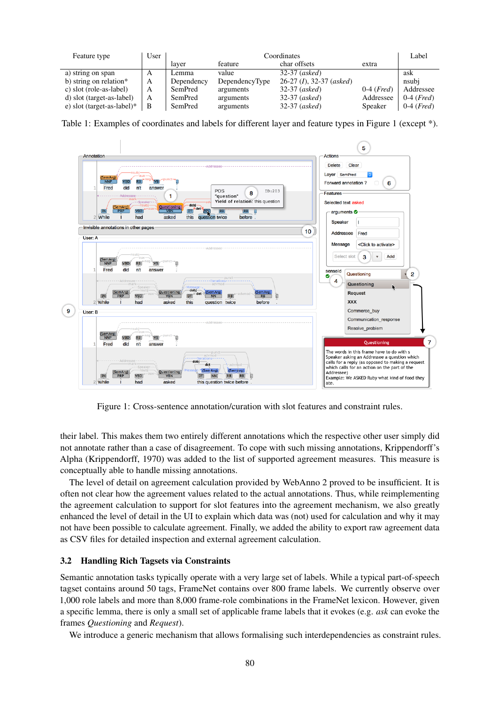| Feature type                  | User | Coordinates |                |                            |                       | Label                 |
|-------------------------------|------|-------------|----------------|----------------------------|-----------------------|-----------------------|
|                               |      | laver       | feature        | char offsets               | extra                 |                       |
| a) string on span             | A    | Lemma       | value          | $32-37$ (asked)            |                       | ask                   |
| b) string on relation*        | A    | Dependency  | DependencyType | $26-27$ (I), 32-37 (asked) |                       | nsubj                 |
| c) slot (role-as-label)       | A    | SemPred     | arguments      | $32-37$ (asked)            | $0-4$ ( <i>Fred</i> ) | Addressee             |
| d) slot (target-as-label)     | A    | SemPred     | arguments      | $32-37$ (asked)            | Addressee             | $0-4$ ( <i>Fred</i> ) |
| e) slot (target-as-label) $*$ | B    | SemPred     | arguments      | $32-37$ (asked)            | Speaker               | $0-4$ ( <i>Fred</i> ) |

Table 1: Examples of coordinates and labels for different layer and feature types in Figure 1 (except \*).



Figure 1: Cross-sentence annotation/curation with slot features and constraint rules.

their label. This makes them two entirely different annotations which the respective other user simply did not annotate rather than a case of disagreement. To cope with such missing annotations, Krippendorff's Alpha (Krippendorff, 1970) was added to the list of supported agreement measures. This measure is conceptually able to handle missing annotations.

The level of detail on agreement calculation provided by WebAnno 2 proved to be insufficient. It is often not clear how the agreement values related to the actual annotations. Thus, while reimplementing the agreement calculation to support for slot features into the agreement mechanism, we also greatly enhanced the level of detail in the UI to explain which data was (not) used for calculation and why it may not have been possible to calculate agreement. Finally, we added the ability to export raw agreement data as CSV files for detailed inspection and external agreement calculation.

### 3.2 Handling Rich Tagsets via Constraints

Semantic annotation tasks typically operate with a very large set of labels. While a typical part-of-speech tagset contains around 50 tags, FrameNet contains over 800 frame labels. We currently observe over 1,000 role labels and more than 8,000 frame-role combinations in the FrameNet lexicon. However, given a specific lemma, there is only a small set of applicable frame labels that it evokes (e.g. *ask* can evoke the frames *Questioning* and *Request*).

We introduce a generic mechanism that allows formalising such interdependencies as constraint rules.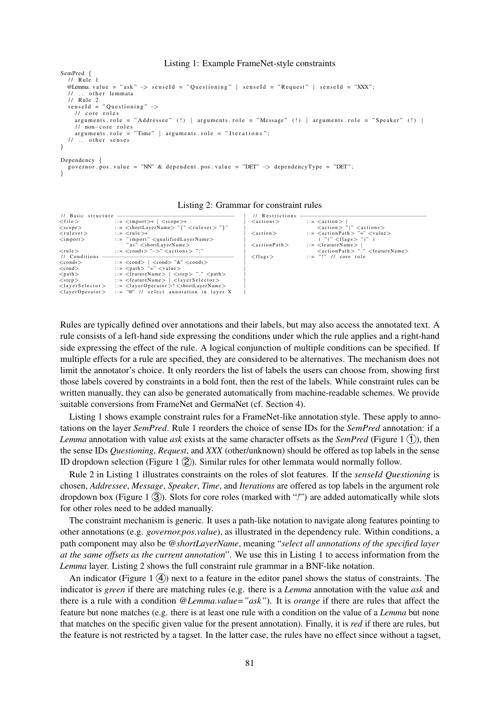#### Listing 1: Example FrameNet-style constraints

```
SemPred {
  1/ Rule 1
  @Lemma. value = "ask" -> senseId = "Questioning" | senseId = "Request" | senseId = "XXX";
       other lemmata
  11 Rule 2
  senseId = "Questioning" \rightarrow\frac{1}{2} core roles
    arguments. role = "Addressee" (!) | arguments. role = "Message" (!) | arguments. role = "Speaker" (!) |
      non−core roles
    arguments . role = "Time" | arguments . role = "Iterations";
  11 ... other senses
}
Dependency {
  governor . pos . value = "NN" & dependent . pos . value = "DET" \rightarrow dependencyType = "DET";
```
}

|  | Listing 2: Grammar for constraint rules |  |
|--|-----------------------------------------|--|
|  |                                         |  |

| // Basic structure              |                                                                                                                                                                                                                                                                                                                    | // Restrictions    |                                                                                   |
|---------------------------------|--------------------------------------------------------------------------------------------------------------------------------------------------------------------------------------------------------------------------------------------------------------------------------------------------------------------|--------------------|-----------------------------------------------------------------------------------|
| $<$ file $>$                    | $\therefore$ = $\langle$ import $\rangle^*$   $\langle$ scope $\rangle^*$                                                                                                                                                                                                                                          | $<$ actions $>$    | $\cdots$ $\leq$ $\alpha$ ction $>$                                                |
| $<$ scope $>$                   | $\cdots$ $\leq$ $\leq$ $\leq$ $\leq$ $\leq$ $\leq$ $\leq$ $\leq$ $\leq$ $\leq$ $\leq$ $\leq$ $\leq$ $\leq$ $\leq$ $\leq$ $\leq$ $\leq$ $\leq$ $\leq$ $\leq$ $\leq$ $\leq$ $\leq$ $\leq$ $\leq$ $\leq$ $\leq$ $\leq$ $\leq$ $\leq$ $\leq$ $\leq$ $\leq$ $\leq$ $\leq$                                               |                    | $\langle \text{action} \rangle$ " " $\langle \text{actions} \rangle$              |
| $<$ ruleset $>$                 | $\therefore$ = $\lt$ rule $\gt$ *                                                                                                                                                                                                                                                                                  | $<$ action $>$     | $\cdots$ = $\langle \text{actionPath} \rangle$ "=" $\langle \text{value} \rangle$ |
| $\langle$ import $\rangle$      | $\cdots$ "import" $\langle$ qualifiedLayerName $\rangle$                                                                                                                                                                                                                                                           |                    | ('''(''' < flags > '')'')                                                         |
|                                 | "as" <shortlayername></shortlayername>                                                                                                                                                                                                                                                                             | $<$ actionPath $>$ | $\cdots$ = $\leq$ feature Name $>$                                                |
| $<$ rule $>$                    | $\cdots$ = $\langle$ conds $\rangle$ " $\rightarrow$ " $\langle$ actions $\rangle$ ":"                                                                                                                                                                                                                             |                    | $\langle$ actionPath $>$ "." $\langle$ featureName $>$                            |
| // Conditions                   |                                                                                                                                                                                                                                                                                                                    | $<$ flags $>$      | $ ::= "!" // core role$                                                           |
| $<$ conds $>$                   | $\therefore$ = $\langle \text{cond} \rangle$   $\langle \text{cond} \rangle$ "&" $\langle \text{cond} \rangle$                                                                                                                                                                                                     |                    |                                                                                   |
| $<$ cond $>$                    | $\therefore$ $\leq$ $\varphi$ $\geq$ $\leq$ $\leq$ $\leq$ $\varphi$ $\geq$ $\leq$ $\varphi$ $\geq$ $\leq$ $\varphi$ $\geq$ $\leq$ $\varphi$ $\geq$ $\leq$ $\varphi$ $\geq$ $\varphi$ $\geq$ $\varphi$ $\geq$ $\varphi$ $\geq$ $\varphi$ $\geq$ $\varphi$ $\geq$ $\varphi$ $\geq$ $\varphi$ $\geq$ $\varphi$ $\geq$ |                    |                                                                                   |
| $<$ path $>$                    | $\therefore$ = $\langle$ featureName $\rangle$   $\langle$ step $\rangle$ "." $\langle$ path $\rangle$                                                                                                                                                                                                             |                    |                                                                                   |
| $<$ step $>$                    | $\therefore$ = $\leq$ featureName $>$   $\leq$ layer Selector $>$                                                                                                                                                                                                                                                  |                    |                                                                                   |
| $<$ layerSelector $>$           | $\therefore$ <layeroperator>? <shortlayername></shortlayername></layeroperator>                                                                                                                                                                                                                                    |                    |                                                                                   |
| <layeroperator></layeroperator> | $\therefore$ $=$ "@" // select annotation in layer X                                                                                                                                                                                                                                                               |                    |                                                                                   |

Rules are typically defined over annotations and their labels, but may also access the annotated text. A rule consists of a left-hand side expressing the conditions under which the rule applies and a right-hand side expressing the effect of the rule. A logical conjunction of multiple conditions can be specified. If multiple effects for a rule are specified, they are considered to be alternatives. The mechanism does not limit the annotator's choice. It only reorders the list of labels the users can choose from, showing first those labels covered by constraints in a bold font, then the rest of the labels. While constraint rules can be written manually, they can also be generated automatically from machine-readable schemes. We provide suitable conversions from FrameNet and GermaNet (cf. Section 4).

Listing 1 shows example constraint rules for a FrameNet-like annotation style. These apply to annotations on the layer *SemPred*. Rule 1 reorders the choice of sense IDs for the *SemPred* annotation: if a *Lemma* annotation with value *ask* exists at the same character offsets as the *SemPred* (Figure 1  $(1)$ ), then the sense IDs *Questioning*, *Request*, and *XXX* (other/unknown) should be offered as top labels in the sense ID dropdown selection (Figure 1  $(2)$ ). Similar rules for other lemmata would normally follow.

Rule 2 in Listing 1 illustrates constraints on the roles of slot features. If the *senseId Questioning* is chosen, *Addressee*, *Message*, *Speaker*, *Time*, and *Iterations* are offered as top labels in the argument role dropdown box (Figure 1 3)). Slots for core roles (marked with "!") are added automatically while slots for other roles need to be added manually.

The constraint mechanism is generic. It uses a path-like notation to navigate along features pointing to other annotations (e.g. *governor.pos.value*), as illustrated in the dependency rule. Within conditions, a path component may also be *@shortLayerName*, meaning "*select all annotations of the specified layer at the same offsets as the current annotation*". We use this in Listing 1 to access information from the *Lemma* layer. Listing 2 shows the full constraint rule grammar in a BNF-like notation.

An indicator (Figure 1  $\overline{4}$ ) next to a feature in the editor panel shows the status of constraints. The indicator is *green* if there are matching rules (e.g. there is a *Lemma* annotation with the value *ask* and there is a rule with a condition *@Lemma.value="ask"*). It is *orange* if there are rules that affect the feature but none matches (e.g. there is at least one rule with a condition on the value of a *Lemma* but none that matches on the specific given value for the present annotation). Finally, it is *red* if there are rules, but the feature is not restricted by a tagset. In the latter case, the rules have no effect since without a tagset,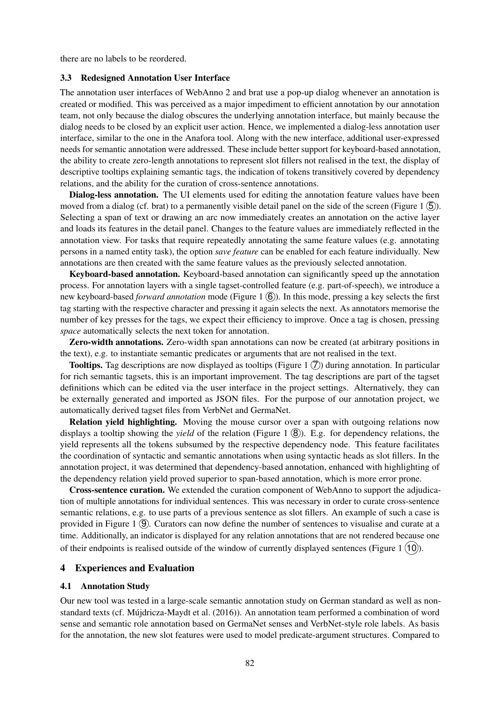there are no labels to be reordered.

#### 3.3 Redesigned Annotation User Interface

The annotation user interfaces of WebAnno 2 and brat use a pop-up dialog whenever an annotation is created or modified. This was perceived as a major impediment to efficient annotation by our annotation team, not only because the dialog obscures the underlying annotation interface, but mainly because the dialog needs to be closed by an explicit user action. Hence, we implemented a dialog-less annotation user interface, similar to the one in the Anafora tool. Along with the new interface, additional user-expressed needs for semantic annotation were addressed. These include better support for keyboard-based annotation, the ability to create zero-length annotations to represent slot fillers not realised in the text, the display of descriptive tooltips explaining semantic tags, the indication of tokens transitively covered by dependency relations, and the ability for the curation of cross-sentence annotations.

Dialog-less annotation. The UI elements used for editing the annotation feature values have been moved from a dialog (cf. brat) to a permanently visible detail panel on the side of the screen (Figure 1  $(5)$ ). Selecting a span of text or drawing an arc now immediately creates an annotation on the active layer and loads its features in the detail panel. Changes to the feature values are immediately reflected in the annotation view. For tasks that require repeatedly annotating the same feature values (e.g. annotating persons in a named entity task), the option *save feature* can be enabled for each feature individually. New annotations are then created with the same feature values as the previously selected annotation.

Keyboard-based annotation. Keyboard-based annotation can significantly speed up the annotation process. For annotation layers with a single tagset-controlled feature (e.g. part-of-speech), we introduce a new keyboard-based *forward annotation* mode (Figure 1  $\overline{6}$ ). In this mode, pressing a key selects the first tag starting with the respective character and pressing it again selects the next. As annotators memorise the number of key presses for the tags, we expect their efficiency to improve. Once a tag is chosen, pressing *space* automatically selects the next token for annotation.

Zero-width annotations. Zero-width span annotations can now be created (at arbitrary positions in the text), e.g. to instantiate semantic predicates or arguments that are not realised in the text.

**Tooltips.** Tag descriptions are now displayed as tooltips (Figure 1  $(\overline{7})$ ) during annotation. In particular for rich semantic tagsets, this is an important improvement. The tag descriptions are part of the tagset definitions which can be edited via the user interface in the project settings. Alternatively, they can be externally generated and imported as JSON files. For the purpose of our annotation project, we automatically derived tagset files from VerbNet and GermaNet.

Relation yield highlighting. Moving the mouse cursor over a span with outgoing relations now displays a tooltip showing the *yield* of the relation (Figure 1  $(8)$ ). E.g. for dependency relations, the yield represents all the tokens subsumed by the respective dependency node. This feature facilitates the coordination of syntactic and semantic annotations when using syntactic heads as slot fillers. In the annotation project, it was determined that dependency-based annotation, enhanced with highlighting of the dependency relation yield proved superior to span-based annotation, which is more error prone.

Cross-sentence curation. We extended the curation component of WebAnno to support the adjudication of multiple annotations for individual sentences. This was necessary in order to curate cross-sentence semantic relations, e.g. to use parts of a previous sentence as slot fillers. An example of such a case is provided in Figure 1  $(9)$ . Curators can now define the number of sentences to visualise and curate at a time. Additionally, an indicator is displayed for any relation annotations that are not rendered because one of their endpoints is realised outside of the window of currently displayed sentences (Figure 1  $(10)$ ).

### 4 Experiences and Evaluation

#### 4.1 Annotation Study

Our new tool was tested in a large-scale semantic annotation study on German standard as well as nonstandard texts (cf. Mujdricza-Maydt et al. (2016)). An annotation team performed a combination of word ´ sense and semantic role annotation based on GermaNet senses and VerbNet-style role labels. As basis for the annotation, the new slot features were used to model predicate-argument structures. Compared to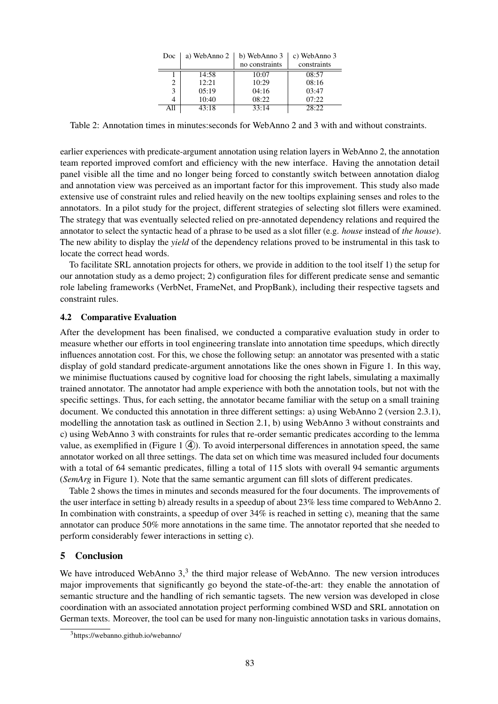| Doc | a) WebAnno 2 | b) WebAnno 3   | c) WebAnno 3 |
|-----|--------------|----------------|--------------|
|     |              | no constraints | constraints  |
|     | 14:58        | 10:07          | 08:57        |
| 2   | 12:21        | 10:29          | 08:16        |
| 3   | 0.5:19       | 04:16          | 03:47        |
| 4   | 10:40        | 08:22          | 07:22        |
| All | 43:18        | 33:14          | 28:22        |

Table 2: Annotation times in minutes:seconds for WebAnno 2 and 3 with and without constraints.

earlier experiences with predicate-argument annotation using relation layers in WebAnno 2, the annotation team reported improved comfort and efficiency with the new interface. Having the annotation detail panel visible all the time and no longer being forced to constantly switch between annotation dialog and annotation view was perceived as an important factor for this improvement. This study also made extensive use of constraint rules and relied heavily on the new tooltips explaining senses and roles to the annotators. In a pilot study for the project, different strategies of selecting slot fillers were examined. The strategy that was eventually selected relied on pre-annotated dependency relations and required the annotator to select the syntactic head of a phrase to be used as a slot filler (e.g. *house* instead of *the house*). The new ability to display the *yield* of the dependency relations proved to be instrumental in this task to locate the correct head words.

To facilitate SRL annotation projects for others, we provide in addition to the tool itself 1) the setup for our annotation study as a demo project; 2) configuration files for different predicate sense and semantic role labeling frameworks (VerbNet, FrameNet, and PropBank), including their respective tagsets and constraint rules.

### 4.2 Comparative Evaluation

After the development has been finalised, we conducted a comparative evaluation study in order to measure whether our efforts in tool engineering translate into annotation time speedups, which directly influences annotation cost. For this, we chose the following setup: an annotator was presented with a static display of gold standard predicate-argument annotations like the ones shown in Figure 1. In this way, we minimise fluctuations caused by cognitive load for choosing the right labels, simulating a maximally trained annotator. The annotator had ample experience with both the annotation tools, but not with the specific settings. Thus, for each setting, the annotator became familiar with the setup on a small training document. We conducted this annotation in three different settings: a) using WebAnno 2 (version 2.3.1), modelling the annotation task as outlined in Section 2.1, b) using WebAnno 3 without constraints and c) using WebAnno 3 with constraints for rules that re-order semantic predicates according to the lemma value, as exemplified in (Figure 1  $(4)$ ). To avoid interpersonal differences in annotation speed, the same annotator worked on all three settings. The data set on which time was measured included four documents with a total of 64 semantic predicates, filling a total of 115 slots with overall 94 semantic arguments (*SemArg* in Figure 1). Note that the same semantic argument can fill slots of different predicates.

Table 2 shows the times in minutes and seconds measured for the four documents. The improvements of the user interface in setting b) already results in a speedup of about 23% less time compared to WebAnno 2. In combination with constraints, a speedup of over 34% is reached in setting c), meaning that the same annotator can produce 50% more annotations in the same time. The annotator reported that she needed to perform considerably fewer interactions in setting c).

### 5 Conclusion

We have introduced WebAnno  $3<sup>3</sup>$ , the third major release of WebAnno. The new version introduces major improvements that significantly go beyond the state-of-the-art: they enable the annotation of semantic structure and the handling of rich semantic tagsets. The new version was developed in close coordination with an associated annotation project performing combined WSD and SRL annotation on German texts. Moreover, the tool can be used for many non-linguistic annotation tasks in various domains,

<sup>3</sup>https://webanno.github.io/webanno/